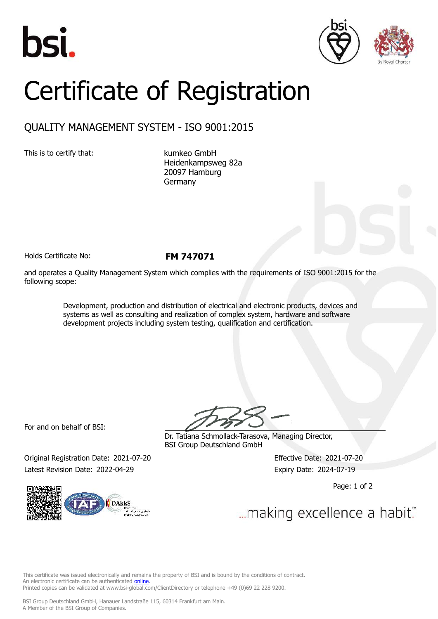





## Certificate of Registration

## QUALITY MANAGEMENT SYSTEM - ISO 9001:2015

This is to certify that: kumkeo GmbH

Heidenkampsweg 82a 20097 Hamburg Germany

Holds Certificate No: **FM 747071**

and operates a Quality Management System which complies with the requirements of ISO 9001:2015 for the following scope:

> Development, production and distribution of electrical and electronic products, devices and systems as well as consulting and realization of complex system, hardware and software development projects including system testing, qualification and certification.

For and on behalf of BSI:

Dr. Tatiana Schmollack-Tarasova, Managing Director, BSI Group Deutschland GmbH

Original Registration Date: 2021-07-20 Effective Date: 2021-07-20 Latest Revision Date: 2022-04-29 Expiry Date: 2024-07-19

DAkk<sub>S</sub>

Page: 1 of 2

... making excellence a habit."

This certificate was issued electronically and remains the property of BSI and is bound by the conditions of contract. An electronic certificate can be authenticated *[online](https://pgplus.bsigroup.com/CertificateValidation/CertificateValidator.aspx?CertificateNumber=FM+747071&ReIssueDate=29%2f04%2f2022&Template=cemea_en)* Printed copies can be validated at www.bsi-global.com/ClientDirectory or telephone +49 (0)69 22 228 9200.

BSI Group Deutschland GmbH, Hanauer Landstraße 115, 60314 Frankfurt am Main. A Member of the BSI Group of Companies.